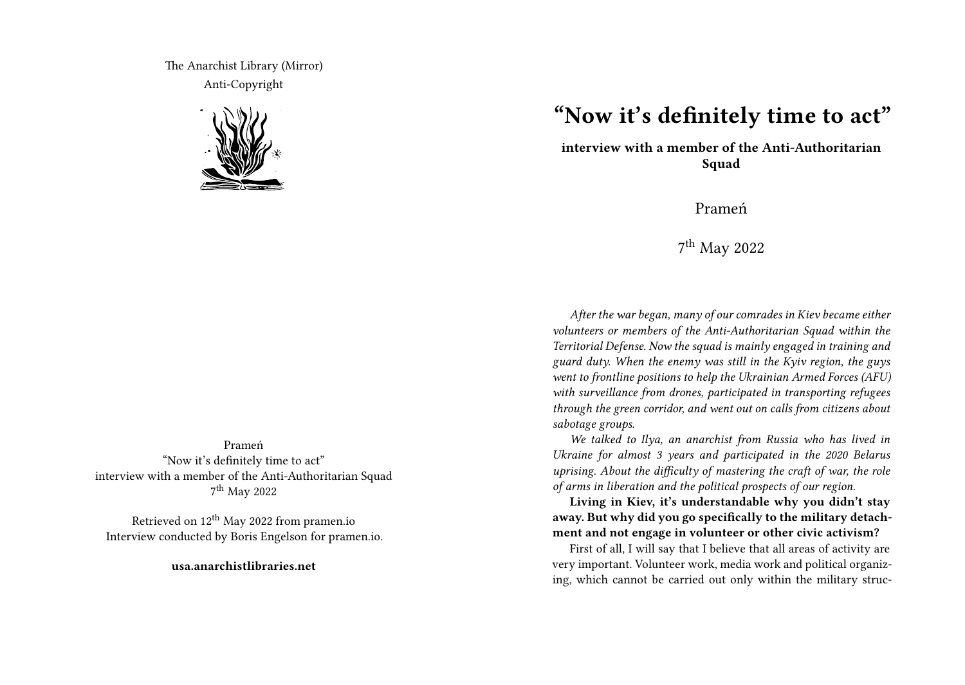The Anarchist Library (Mirror) Anti-Copyright



Prameń "Now it's definitely time to act" interview with a member of the Anti-Authoritarian Squad 7 th May 2022

Retrieved on 12th May 2022 from pramen.io Interview conducted by Boris Engelson for pramen.io.

**usa.anarchistlibraries.net**

## **"Now it's definitely time to act"**

**interview with a member of the Anti-Authoritarian Squad**

Prameń

7 th May 2022

*After the war began, many of our comrades in Kiev became either volunteers or members of the Anti-Authoritarian Squad within the Territorial Defense. Now the squad is mainly engaged in training and guard duty. When the enemy was still in the Kyiv region, the guys went to frontline positions to help the Ukrainian Armed Forces (AFU) with surveillance from drones, participated in transporting refugees through the green corridor, and went out on calls from citizens about sabotage groups.*

*We talked to Ilya, an anarchist from Russia who has lived in Ukraine for almost 3 years and participated in the 2020 Belarus uprising. About the difficulty of mastering the craft of war, the role of arms in liberation and the political prospects of our region.*

**Living in Kiev, it's understandable why you didn't stay away. But why did you go specifically to the military detachment and not engage in volunteer or other civic activism?**

First of all, I will say that I believe that all areas of activity are very important. Volunteer work, media work and political organizing, which cannot be carried out only within the military struc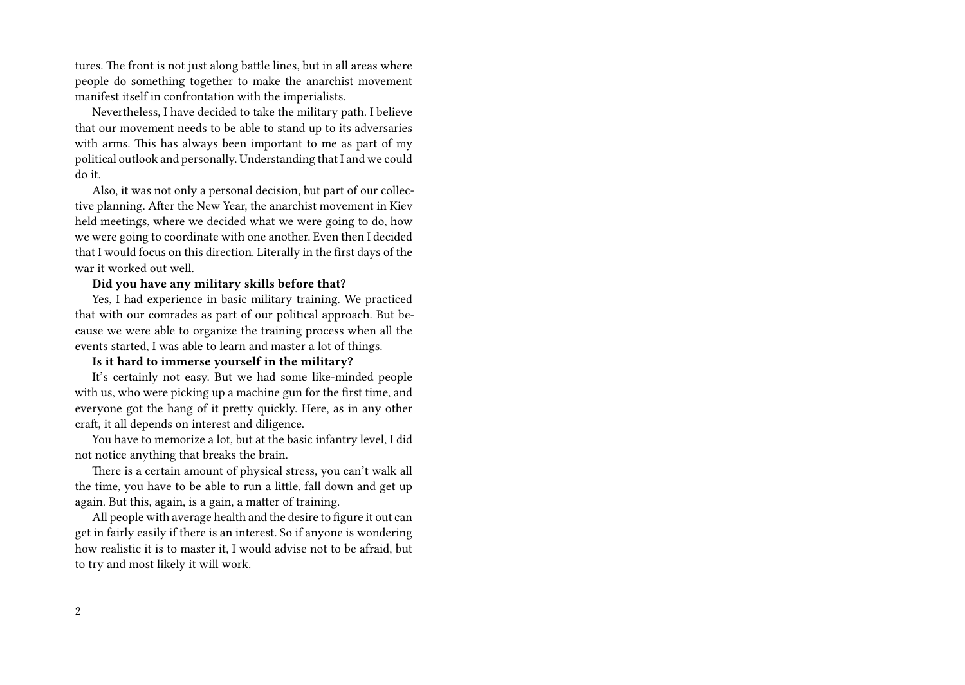tures. The front is not just along battle lines, but in all areas where people do something together to make the anarchist movement manifest itself in confrontation with the imperialists.

Nevertheless, I have decided to take the military path. I believe that our movement needs to be able to stand up to its adversaries with arms. This has always been important to me as part of my political outlook and personally. Understanding that I and we could do it.

Also, it was not only a personal decision, but part of our collective planning. After the New Year, the anarchist movement in Kiev held meetings, where we decided what we were going to do, how we were going to coordinate with one another. Even then I decided that I would focus on this direction. Literally in the first days of the war it worked out well.

## **Did you have any military skills before that?**

Yes, I had experience in basic military training. We practiced that with our comrades as part of our political approach. But because we were able to organize the training process when all the events started, I was able to learn and master a lot of things.

## **Is it hard to immerse yourself in the military?**

It's certainly not easy. But we had some like-minded people with us, who were picking up a machine gun for the first time, and everyone got the hang of it pretty quickly. Here, as in any other craft, it all depends on interest and diligence.

You have to memorize a lot, but at the basic infantry level, I did not notice anything that breaks the brain.

There is a certain amount of physical stress, you can't walk all the time, you have to be able to run a little, fall down and get up again. But this, again, is a gain, a matter of training.

All people with average health and the desire to figure it out can get in fairly easily if there is an interest. So if anyone is wondering how realistic it is to master it, I would advise not to be afraid, but to try and most likely it will work.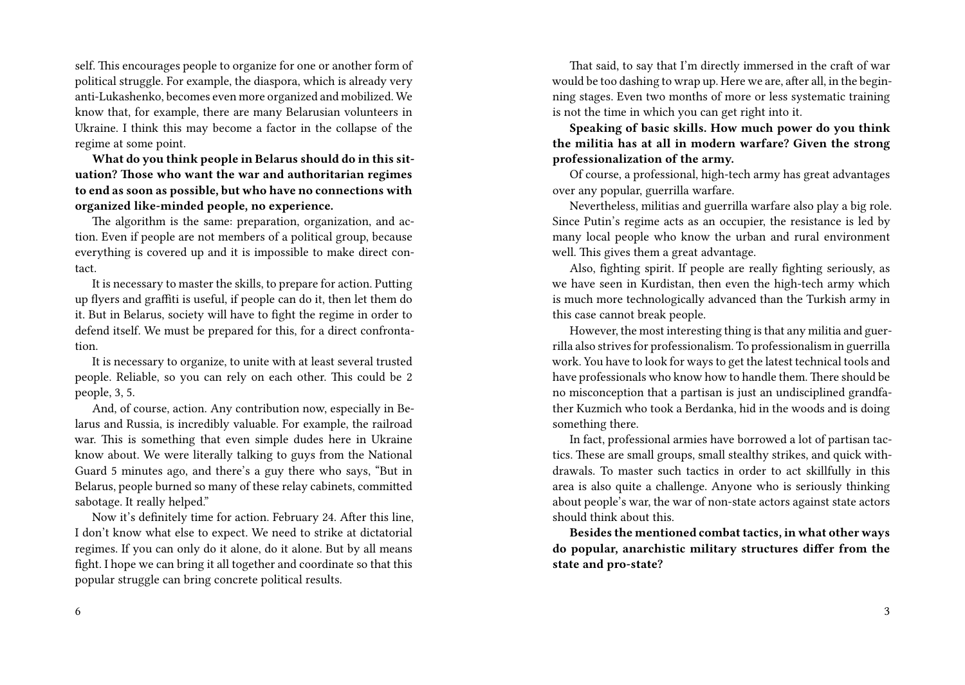self. This encourages people to organize for one or another form of political struggle. For example, the diaspora, which is already very anti-Lukashenko, becomes even more organized and mobilized. We know that, for example, there are many Belarusian volunteers in Ukraine. I think this may become a factor in the collapse of the regime at some point.

**What do you think people in Belarus should do in this situation? Those who want the war and authoritarian regimes to end as soon as possible, but who have no connections with organized like-minded people, no experience.**

The algorithm is the same: preparation, organization, and action. Even if people are not members of a political group, because everything is covered up and it is impossible to make direct contact.

It is necessary to master the skills, to prepare for action. Putting up flyers and graffiti is useful, if people can do it, then let them do it. But in Belarus, society will have to fight the regime in order to defend itself. We must be prepared for this, for a direct confrontation.

It is necessary to organize, to unite with at least several trusted people. Reliable, so you can rely on each other. This could be 2 people, 3, 5.

And, of course, action. Any contribution now, especially in Belarus and Russia, is incredibly valuable. For example, the railroad war. This is something that even simple dudes here in Ukraine know about. We were literally talking to guys from the National Guard 5 minutes ago, and there's a guy there who says, "But in Belarus, people burned so many of these relay cabinets, committed sabotage. It really helped."

Now it's definitely time for action. February 24. After this line, I don't know what else to expect. We need to strike at dictatorial regimes. If you can only do it alone, do it alone. But by all means fight. I hope we can bring it all together and coordinate so that this popular struggle can bring concrete political results.

That said, to say that I'm directly immersed in the craft of war would be too dashing to wrap up. Here we are, after all, in the beginning stages. Even two months of more or less systematic training is not the time in which you can get right into it.

**Speaking of basic skills. How much power do you think the militia has at all in modern warfare? Given the strong professionalization of the army.**

Of course, a professional, high-tech army has great advantages over any popular, guerrilla warfare.

Nevertheless, militias and guerrilla warfare also play a big role. Since Putin's regime acts as an occupier, the resistance is led by many local people who know the urban and rural environment well. This gives them a great advantage.

Also, fighting spirit. If people are really fighting seriously, as we have seen in Kurdistan, then even the high-tech army which is much more technologically advanced than the Turkish army in this case cannot break people.

However, the most interesting thing is that any militia and guerrilla also strives for professionalism. To professionalism in guerrilla work. You have to look for ways to get the latest technical tools and have professionals who know how to handle them. There should be no misconception that a partisan is just an undisciplined grandfather Kuzmich who took a Berdanka, hid in the woods and is doing something there.

In fact, professional armies have borrowed a lot of partisan tactics. These are small groups, small stealthy strikes, and quick withdrawals. To master such tactics in order to act skillfully in this area is also quite a challenge. Anyone who is seriously thinking about people's war, the war of non-state actors against state actors should think about this.

**Besides the mentioned combat tactics, in what other ways do popular, anarchistic military structures differ from the state and pro-state?**